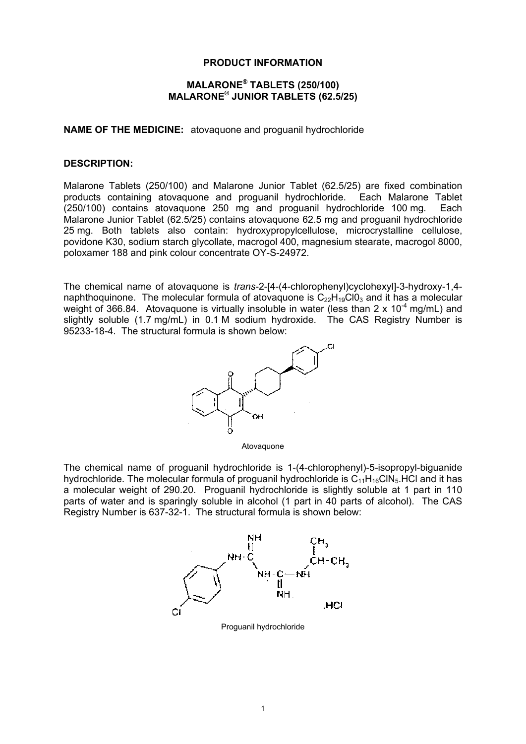## **PRODUCT INFORMATION**

# **MALARONE® TABLETS (250/100) MALARONE® JUNIOR TABLETS (62.5/25)**

**NAME OF THE MEDICINE:** atovaquone and proguanil hydrochloride

#### **DESCRIPTION:**

Malarone Tablets (250/100) and Malarone Junior Tablet (62.5/25) are fixed combination products containing atovaquone and proguanil hydrochloride. Each Malarone Tablet (250/100) contains atovaquone 250 mg and proguanil hydrochloride 100 mg. Each Malarone Junior Tablet (62.5/25) contains atovaquone 62.5 mg and proguanil hydrochloride 25 mg. Both tablets also contain: hydroxypropylcellulose, microcrystalline cellulose, povidone K30, sodium starch glycollate, macrogol 400, magnesium stearate, macrogol 8000, poloxamer 188 and pink colour concentrate OY-S-24972.

The chemical name of atovaquone is *trans*-2-[4-(4-chlorophenyl)cyclohexyl]-3-hydroxy-1,4 naphthoquinone. The molecular formula of atovaquone is  $C_{22}H_{19}Cl0_3$  and it has a molecular weight of 366.84. Atovaguone is virtually insoluble in water (less than 2 x  $10^{-4}$  mg/mL) and slightly soluble (1.7 mg/mL) in 0.1 M sodium hydroxide. The CAS Registry Number is 95233-18-4. The structural formula is shown below:



Atovaquone

The chemical name of proguanil hydrochloride is 1-(4-chlorophenyl)-5-isopropyl-biguanide hydrochloride. The molecular formula of proguanil hydrochloride is  $C_{11}H_{16}CIN_5$ . HCl and it has a molecular weight of 290.20. Proguanil hydrochloride is slightly soluble at 1 part in 110 parts of water and is sparingly soluble in alcohol (1 part in 40 parts of alcohol). The CAS Registry Number is 637-32-1. The structural formula is shown below:



Proguanil hydrochloride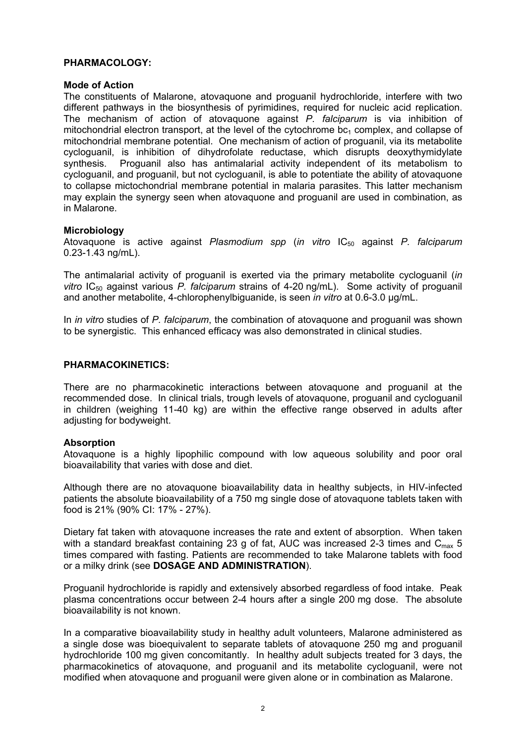## **PHARMACOLOGY:**

#### **Mode of Action**

The constituents of Malarone, atovaquone and proguanil hydrochloride, interfere with two different pathways in the biosynthesis of pyrimidines, required for nucleic acid replication. The mechanism of action of atovaquone against *P. falciparum* is via inhibition of mitochondrial electron transport, at the level of the cytochrome  $bc<sub>1</sub>$  complex, and collapse of mitochondrial membrane potential. One mechanism of action of proguanil, via its metabolite cycloguanil, is inhibition of dihydrofolate reductase, which disrupts deoxythymidylate synthesis. Proguanil also has antimalarial activity independent of its metabolism to cycloguanil, and proguanil, but not cycloguanil, is able to potentiate the ability of atovaquone to collapse mictochondrial membrane potential in malaria parasites. This latter mechanism may explain the synergy seen when atovaquone and proguanil are used in combination, as in Malarone.

#### **Microbiology**

Atovaquone is active against *Plasmodium spp* (*in vitro* IC50 against *P. falciparum* 0.23-1.43 ng/mL).

The antimalarial activity of proguanil is exerted via the primary metabolite cycloguanil (*in vitro* IC<sub>50</sub> against various *P. falciparum* strains of 4-20 ng/mL). Some activity of proguanil and another metabolite, 4-chlorophenylbiguanide, is seen *in vitro* at 0.6-3.0 µg/mL.

In *in vitro* studies of *P. falciparum*, the combination of atovaquone and proguanil was shown to be synergistic. This enhanced efficacy was also demonstrated in clinical studies.

#### **PHARMACOKINETICS:**

There are no pharmacokinetic interactions between atovaquone and proguanil at the recommended dose. In clinical trials, trough levels of atovaquone, proguanil and cycloguanil in children (weighing 11-40 kg) are within the effective range observed in adults after adjusting for bodyweight.

#### **Absorption**

Atovaquone is a highly lipophilic compound with low aqueous solubility and poor oral bioavailability that varies with dose and diet.

Although there are no atovaquone bioavailability data in healthy subjects, in HIV-infected patients the absolute bioavailability of a 750 mg single dose of atovaquone tablets taken with food is 21% (90% CI: 17% - 27%).

Dietary fat taken with atovaquone increases the rate and extent of absorption. When taken with a standard breakfast containing 23 g of fat, AUC was increased 2-3 times and  $C_{\text{max}}$  5 times compared with fasting. Patients are recommended to take Malarone tablets with food or a milky drink (see **DOSAGE AND ADMINISTRATION**).

Proguanil hydrochloride is rapidly and extensively absorbed regardless of food intake. Peak plasma concentrations occur between 2-4 hours after a single 200 mg dose. The absolute bioavailability is not known.

In a comparative bioavailability study in healthy adult volunteers, Malarone administered as a single dose was bioequivalent to separate tablets of atovaquone 250 mg and proguanil hydrochloride 100 mg given concomitantly. In healthy adult subjects treated for 3 days, the pharmacokinetics of atovaquone, and proguanil and its metabolite cycloguanil, were not modified when atovaquone and proguanil were given alone or in combination as Malarone.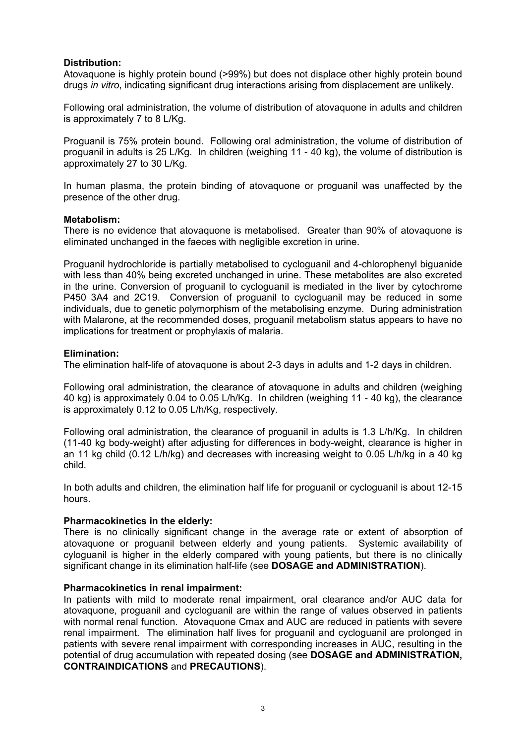# **Distribution:**

Atovaquone is highly protein bound (>99%) but does not displace other highly protein bound drugs *in vitro*, indicating significant drug interactions arising from displacement are unlikely.

Following oral administration, the volume of distribution of atovaquone in adults and children is approximately 7 to 8 L/Kg.

Proguanil is 75% protein bound. Following oral administration, the volume of distribution of proguanil in adults is 25 L/Kg. In children (weighing 11 - 40 kg), the volume of distribution is approximately 27 to 30 L/Kg.

In human plasma, the protein binding of atovaquone or proguanil was unaffected by the presence of the other drug.

#### **Metabolism:**

There is no evidence that atovaquone is metabolised. Greater than 90% of atovaquone is eliminated unchanged in the faeces with negligible excretion in urine.

Proguanil hydrochloride is partially metabolised to cycloguanil and 4-chlorophenyl biguanide with less than 40% being excreted unchanged in urine. These metabolites are also excreted in the urine. Conversion of proguanil to cycloguanil is mediated in the liver by cytochrome P450 3A4 and 2C19. Conversion of proguanil to cycloguanil may be reduced in some individuals, due to genetic polymorphism of the metabolising enzyme. During administration with Malarone, at the recommended doses, proguanil metabolism status appears to have no implications for treatment or prophylaxis of malaria.

## **Elimination:**

The elimination half-life of atovaquone is about 2-3 days in adults and 1-2 days in children.

Following oral administration, the clearance of atovaquone in adults and children (weighing 40 kg) is approximately 0.04 to 0.05 L/h/Kg. In children (weighing 11 - 40 kg), the clearance is approximately 0.12 to 0.05 L/h/Kg, respectively.

Following oral administration, the clearance of proguanil in adults is 1.3 L/h/Kg. In children (11-40 kg body-weight) after adjusting for differences in body-weight, clearance is higher in an 11 kg child (0.12 L/h/kg) and decreases with increasing weight to 0.05 L/h/kg in a 40 kg child.

In both adults and children, the elimination half life for proguanil or cycloguanil is about 12-15 hours.

# **Pharmacokinetics in the elderly:**

There is no clinically significant change in the average rate or extent of absorption of atovaquone or proguanil between elderly and young patients. Systemic availability of cyloguanil is higher in the elderly compared with young patients, but there is no clinically significant change in its elimination half-life (see **DOSAGE and ADMINISTRATION**).

#### **Pharmacokinetics in renal impairment:**

In patients with mild to moderate renal impairment, oral clearance and/or AUC data for atovaquone, proguanil and cycloguanil are within the range of values observed in patients with normal renal function. Atovaquone Cmax and AUC are reduced in patients with severe renal impairment. The elimination half lives for proguanil and cycloguanil are prolonged in patients with severe renal impairment with corresponding increases in AUC, resulting in the potential of drug accumulation with repeated dosing (see **DOSAGE and ADMINISTRATION, CONTRAINDICATIONS** and **PRECAUTIONS**).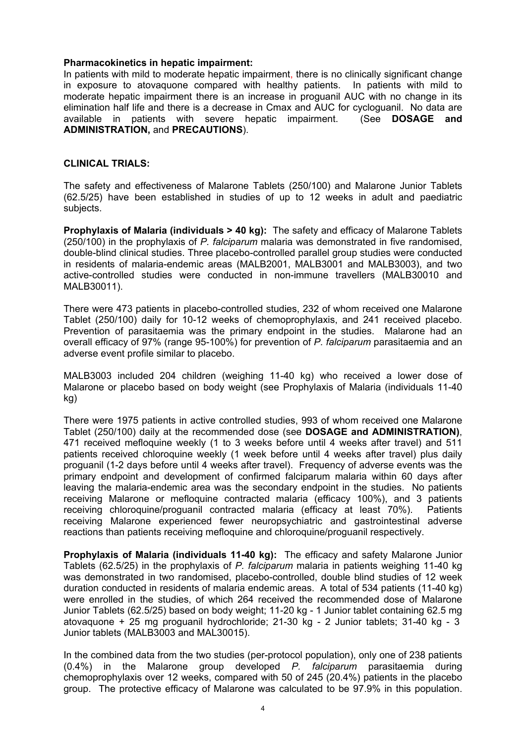#### **Pharmacokinetics in hepatic impairment:**

In patients with mild to moderate hepatic impairment, there is no clinically significant change in exposure to atovaquone compared with healthy patients. In patients with mild to moderate hepatic impairment there is an increase in proguanil AUC with no change in its elimination half life and there is a decrease in Cmax and AUC for cycloguanil. No data are available in patients with severe hepatic impairment. (See **DOSAGE and ADMINISTRATION,** and **PRECAUTIONS**).

## **CLINICAL TRIALS:**

The safety and effectiveness of Malarone Tablets (250/100) and Malarone Junior Tablets (62.5/25) have been established in studies of up to 12 weeks in adult and paediatric subjects.

**Prophylaxis of Malaria (individuals > 40 kg):** The safety and efficacy of Malarone Tablets (250/100) in the prophylaxis of *P. falciparum* malaria was demonstrated in five randomised, double-blind clinical studies. Three placebo-controlled parallel group studies were conducted in residents of malaria-endemic areas (MALB2001, MALB3001 and MALB3003), and two active-controlled studies were conducted in non-immune travellers (MALB30010 and MALB30011).

There were 473 patients in placebo-controlled studies, 232 of whom received one Malarone Tablet (250/100) daily for 10-12 weeks of chemoprophylaxis, and 241 received placebo. Prevention of parasitaemia was the primary endpoint in the studies. Malarone had an overall efficacy of 97% (range 95-100%) for prevention of *P. falciparum* parasitaemia and an adverse event profile similar to placebo.

MALB3003 included 204 children (weighing 11-40 kg) who received a lower dose of Malarone or placebo based on body weight (see Prophylaxis of Malaria (individuals 11-40 kg)

There were 1975 patients in active controlled studies, 993 of whom received one Malarone Tablet (250/100) daily at the recommended dose (see **DOSAGE and ADMINISTRATION)**, 471 received mefloquine weekly (1 to 3 weeks before until 4 weeks after travel) and 511 patients received chloroquine weekly (1 week before until 4 weeks after travel) plus daily proguanil (1-2 days before until 4 weeks after travel). Frequency of adverse events was the primary endpoint and development of confirmed falciparum malaria within 60 days after leaving the malaria-endemic area was the secondary endpoint in the studies. No patients receiving Malarone or mefloquine contracted malaria (efficacy 100%), and 3 patients receiving chloroquine/proguanil contracted malaria (efficacy at least 70%). Patients receiving Malarone experienced fewer neuropsychiatric and gastrointestinal adverse reactions than patients receiving mefloquine and chloroquine/proguanil respectively.

**Prophylaxis of Malaria (individuals 11-40 kg):** The efficacy and safety Malarone Junior Tablets (62.5/25) in the prophylaxis of *P. falciparum* malaria in patients weighing 11-40 kg was demonstrated in two randomised, placebo-controlled, double blind studies of 12 week duration conducted in residents of malaria endemic areas. A total of 534 patients (11-40 kg) were enrolled in the studies, of which 264 received the recommended dose of Malarone Junior Tablets (62.5/25) based on body weight; 11-20 kg - 1 Junior tablet containing 62.5 mg atovaquone + 25 mg proguanil hydrochloride; 21-30 kg - 2 Junior tablets; 31-40 kg - 3 Junior tablets (MALB3003 and MAL30015).

In the combined data from the two studies (per-protocol population), only one of 238 patients (0.4%) in the Malarone group developed *P. falciparum* parasitaemia during chemoprophylaxis over 12 weeks, compared with 50 of 245 (20.4%) patients in the placebo group. The protective efficacy of Malarone was calculated to be 97.9% in this population.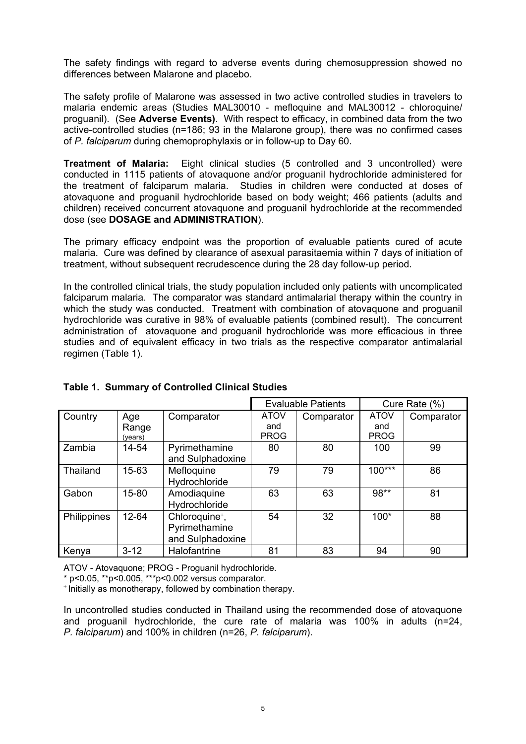The safety findings with regard to adverse events during chemosuppression showed no differences between Malarone and placebo.

The safety profile of Malarone was assessed in two active controlled studies in travelers to malaria endemic areas (Studies MAL30010 - mefloquine and MAL30012 - chloroquine/ proguanil). (See **Adverse Events)**. With respect to efficacy, in combined data from the two active-controlled studies (n=186; 93 in the Malarone group), there was no confirmed cases of *P. falciparum* during chemoprophylaxis or in follow-up to Day 60.

**Treatment of Malaria:** Eight clinical studies (5 controlled and 3 uncontrolled) were conducted in 1115 patients of atovaquone and/or proguanil hydrochloride administered for the treatment of falciparum malaria. Studies in children were conducted at doses of atovaquone and proguanil hydrochloride based on body weight; 466 patients (adults and children) received concurrent atovaquone and proguanil hydrochloride at the recommended dose (see **DOSAGE and ADMINISTRATION**).

The primary efficacy endpoint was the proportion of evaluable patients cured of acute malaria. Cure was defined by clearance of asexual parasitaemia within 7 days of initiation of treatment, without subsequent recrudescence during the 28 day follow-up period.

In the controlled clinical trials, the study population included only patients with uncomplicated falciparum malaria. The comparator was standard antimalarial therapy within the country in which the study was conducted. Treatment with combination of atovaquone and proguanil hydrochloride was curative in 98% of evaluable patients (combined result). The concurrent administration of atovaquone and proguanil hydrochloride was more efficacious in three studies and of equivalent efficacy in two trials as the respective comparator antimalarial regimen (Table 1).

|                    |                         |                                                                 | <b>Evaluable Patients</b>         |            | Cure Rate (%)                     |            |
|--------------------|-------------------------|-----------------------------------------------------------------|-----------------------------------|------------|-----------------------------------|------------|
| Country            | Age<br>Range<br>(years) | Comparator                                                      | <b>ATOV</b><br>and<br><b>PROG</b> | Comparator | <b>ATOV</b><br>and<br><b>PROG</b> | Comparator |
| Zambia             | 14-54                   | Pyrimethamine<br>and Sulphadoxine                               | 80                                | 80         | 100                               | 99         |
| Thailand           | 15-63                   | Mefloquine<br>Hydrochloride                                     | 79                                | 79         | $100***$                          | 86         |
| Gabon              | 15-80                   | Amodiaguine<br>Hydrochloride                                    | 63                                | 63         | 98**                              | 81         |
| <b>Philippines</b> | 12-64                   | Chloroquine <sup>+</sup> ,<br>Pyrimethamine<br>and Sulphadoxine | 54                                | 32         | $100*$                            | 88         |
| Kenya              | $3 - 12$                | Halofantrine                                                    | 81                                | 83         | 94                                | 90         |

# **Table 1. Summary of Controlled Clinical Studies**

ATOV - Atovaquone; PROG - Proguanil hydrochloride.

\* p<0.05, \*\*p<0.005, \*\*\*p<0.002 versus comparator.

<sup>+</sup> Initially as monotherapy, followed by combination therapy.

In uncontrolled studies conducted in Thailand using the recommended dose of atovaquone and proguanil hydrochloride, the cure rate of malaria was 100% in adults (n=24, *P. falciparum*) and 100% in children (n=26, *P. falciparum*).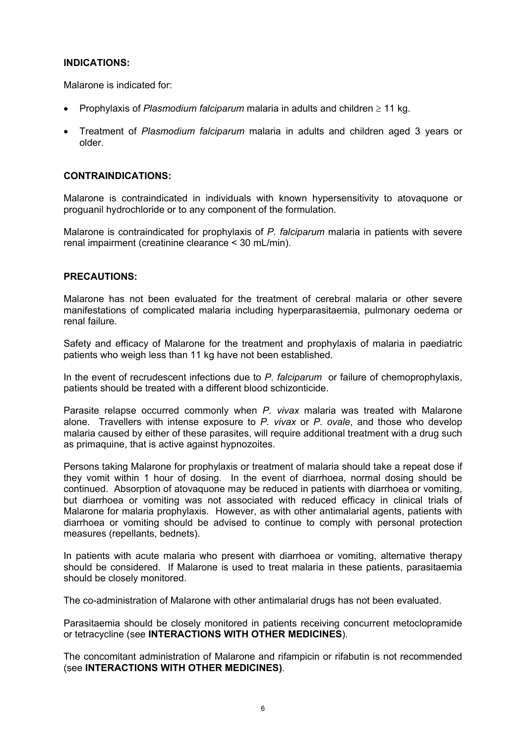# **INDICATIONS:**

Malarone is indicated for:

- Prophylaxis of *Plasmodium falciparum* malaria in adults and children ≥ 11 kg.
- Treatment of *Plasmodium falciparum* malaria in adults and children aged 3 years or older.

## **CONTRAINDICATIONS:**

Malarone is contraindicated in individuals with known hypersensitivity to atovaquone or proguanil hydrochloride or to any component of the formulation.

Malarone is contraindicated for prophylaxis of *P. falciparum* malaria in patients with severe renal impairment (creatinine clearance < 30 mL/min).

## **PRECAUTIONS:**

Malarone has not been evaluated for the treatment of cerebral malaria or other severe manifestations of complicated malaria including hyperparasitaemia, pulmonary oedema or renal failure.

Safety and efficacy of Malarone for the treatment and prophylaxis of malaria in paediatric patients who weigh less than 11 kg have not been established.

In the event of recrudescent infections due to *P. falciparum* or failure of chemoprophylaxis, patients should be treated with a different blood schizonticide.

Parasite relapse occurred commonly when *P. vivax* malaria was treated with Malarone alone. Travellers with intense exposure to *P. vivax* or *P. ovale*, and those who develop malaria caused by either of these parasites, will require additional treatment with a drug such as primaquine, that is active against hypnozoites.

Persons taking Malarone for prophylaxis or treatment of malaria should take a repeat dose if they vomit within 1 hour of dosing. In the event of diarrhoea, normal dosing should be continued. Absorption of atovaquone may be reduced in patients with diarrhoea or vomiting, but diarrhoea or vomiting was not associated with reduced efficacy in clinical trials of Malarone for malaria prophylaxis. However, as with other antimalarial agents, patients with diarrhoea or vomiting should be advised to continue to comply with personal protection measures (repellants, bednets).

In patients with acute malaria who present with diarrhoea or vomiting, alternative therapy should be considered. If Malarone is used to treat malaria in these patients, parasitaemia should be closely monitored.

The co-administration of Malarone with other antimalarial drugs has not been evaluated.

Parasitaemia should be closely monitored in patients receiving concurrent metoclopramide or tetracycline (see **INTERACTIONS WITH OTHER MEDICINES**).

The concomitant administration of Malarone and rifampicin or rifabutin is not recommended (see **INTERACTIONS WITH OTHER MEDICINES)**.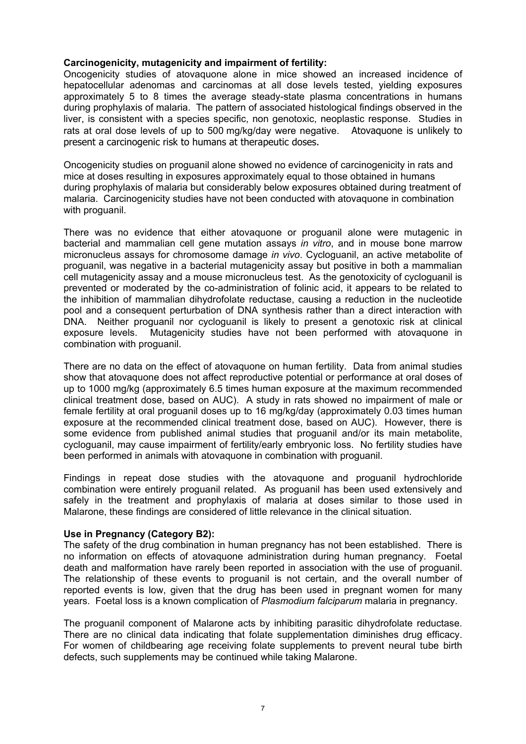## **Carcinogenicity, mutagenicity and impairment of fertility:**

Oncogenicity studies of atovaquone alone in mice showed an increased incidence of hepatocellular adenomas and carcinomas at all dose levels tested, yielding exposures approximately 5 to 8 times the average steady-state plasma concentrations in humans during prophylaxis of malaria. The pattern of associated histological findings observed in the liver, is consistent with a species specific, non genotoxic, neoplastic response. Studies in rats at oral dose levels of up to 500 mg/kg/day were negative. Atovaquone is unlikely to present a carcinogenic risk to humans at therapeutic doses.

Oncogenicity studies on proguanil alone showed no evidence of carcinogenicity in rats and mice at doses resulting in exposures approximately equal to those obtained in humans during prophylaxis of malaria but considerably below exposures obtained during treatment of malaria. Carcinogenicity studies have not been conducted with atovaquone in combination with proguanil.

There was no evidence that either atovaquone or proguanil alone were mutagenic in bacterial and mammalian cell gene mutation assays *in vitro*, and in mouse bone marrow micronucleus assays for chromosome damage *in vivo*. Cycloguanil, an active metabolite of proguanil, was negative in a bacterial mutagenicity assay but positive in both a mammalian cell mutagenicity assay and a mouse micronucleus test. As the genotoxicity of cycloguanil is prevented or moderated by the co-administration of folinic acid, it appears to be related to the inhibition of mammalian dihydrofolate reductase, causing a reduction in the nucleotide pool and a consequent perturbation of DNA synthesis rather than a direct interaction with DNA. Neither proguanil nor cycloguanil is likely to present a genotoxic risk at clinical exposure levels. Mutagenicity studies have not been performed with atovaquone in combination with proguanil.

There are no data on the effect of atovaquone on human fertility. Data from animal studies show that atovaquone does not affect reproductive potential or performance at oral doses of up to 1000 mg/kg (approximately 6.5 times human exposure at the maximum recommended clinical treatment dose, based on AUC). A study in rats showed no impairment of male or female fertility at oral proguanil doses up to 16 mg/kg/day (approximately 0.03 times human exposure at the recommended clinical treatment dose, based on AUC). However, there is some evidence from published animal studies that proguanil and/or its main metabolite, cycloguanil, may cause impairment of fertility/early embryonic loss. No fertility studies have been performed in animals with atovaquone in combination with proguanil.

Findings in repeat dose studies with the atovaquone and proguanil hydrochloride combination were entirely proguanil related. As proguanil has been used extensively and safely in the treatment and prophylaxis of malaria at doses similar to those used in Malarone, these findings are considered of little relevance in the clinical situation.

#### **Use in Pregnancy (Category B2):**

The safety of the drug combination in human pregnancy has not been established. There is no information on effects of atovaquone administration during human pregnancy. Foetal death and malformation have rarely been reported in association with the use of proguanil. The relationship of these events to proguanil is not certain, and the overall number of reported events is low, given that the drug has been used in pregnant women for many years. Foetal loss is a known complication of *Plasmodium falciparum* malaria in pregnancy.

The proguanil component of Malarone acts by inhibiting parasitic dihydrofolate reductase. There are no clinical data indicating that folate supplementation diminishes drug efficacy. For women of childbearing age receiving folate supplements to prevent neural tube birth defects, such supplements may be continued while taking Malarone.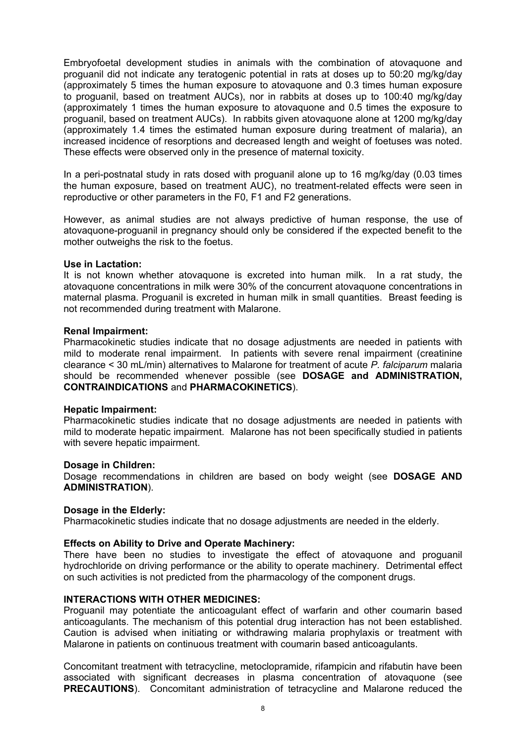Embryofoetal development studies in animals with the combination of atovaquone and proguanil did not indicate any teratogenic potential in rats at doses up to 50:20 mg/kg/day (approximately 5 times the human exposure to atovaquone and 0.3 times human exposure to proguanil, based on treatment AUCs), nor in rabbits at doses up to 100:40 mg/kg/day (approximately 1 times the human exposure to atovaquone and 0.5 times the exposure to proguanil, based on treatment AUCs). In rabbits given atovaquone alone at 1200 mg/kg/day (approximately 1.4 times the estimated human exposure during treatment of malaria), an increased incidence of resorptions and decreased length and weight of foetuses was noted. These effects were observed only in the presence of maternal toxicity.

In a peri-postnatal study in rats dosed with proguanil alone up to 16 mg/kg/day (0.03 times the human exposure, based on treatment AUC), no treatment-related effects were seen in reproductive or other parameters in the F0, F1 and F2 generations.

However, as animal studies are not always predictive of human response, the use of atovaquone-proguanil in pregnancy should only be considered if the expected benefit to the mother outweighs the risk to the foetus.

#### **Use in Lactation:**

It is not known whether atovaquone is excreted into human milk. In a rat study, the atovaquone concentrations in milk were 30% of the concurrent atovaquone concentrations in maternal plasma. Proguanil is excreted in human milk in small quantities. Breast feeding is not recommended during treatment with Malarone.

## **Renal Impairment:**

Pharmacokinetic studies indicate that no dosage adjustments are needed in patients with mild to moderate renal impairment. In patients with severe renal impairment (creatinine clearance < 30 mL/min) alternatives to Malarone for treatment of acute *P. falciparum* malaria should be recommended whenever possible (see **DOSAGE and ADMINISTRATION, CONTRAINDICATIONS** and **PHARMACOKINETICS**).

#### **Hepatic Impairment:**

Pharmacokinetic studies indicate that no dosage adjustments are needed in patients with mild to moderate hepatic impairment. Malarone has not been specifically studied in patients with severe hepatic impairment.

#### **Dosage in Children:**

Dosage recommendations in children are based on body weight (see **DOSAGE AND ADMINISTRATION**).

# **Dosage in the Elderly:**

Pharmacokinetic studies indicate that no dosage adjustments are needed in the elderly.

# **Effects on Ability to Drive and Operate Machinery:**

There have been no studies to investigate the effect of atovaquone and proguanil hydrochloride on driving performance or the ability to operate machinery. Detrimental effect on such activities is not predicted from the pharmacology of the component drugs.

## **INTERACTIONS WITH OTHER MEDICINES:**

Proguanil may potentiate the anticoagulant effect of warfarin and other coumarin based anticoagulants. The mechanism of this potential drug interaction has not been established. Caution is advised when initiating or withdrawing malaria prophylaxis or treatment with Malarone in patients on continuous treatment with coumarin based anticoagulants.

Concomitant treatment with tetracycline, metoclopramide, rifampicin and rifabutin have been associated with significant decreases in plasma concentration of atovaquone (see **PRECAUTIONS**). Concomitant administration of tetracycline and Malarone reduced the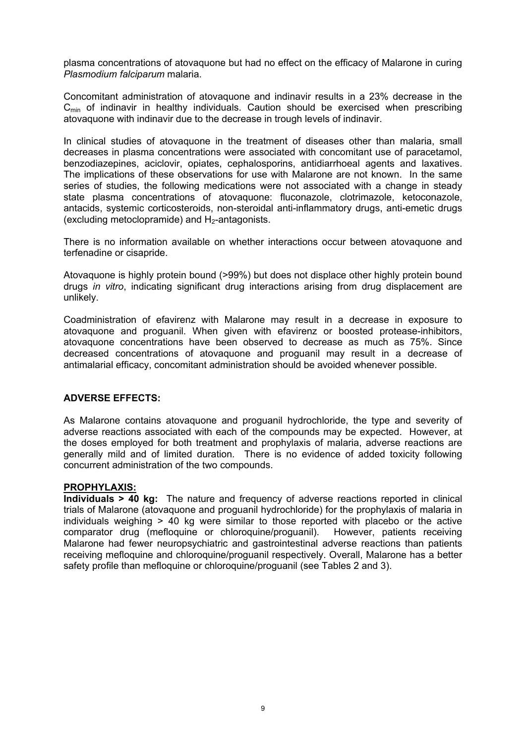plasma concentrations of atovaquone but had no effect on the efficacy of Malarone in curing *Plasmodium falciparum* malaria.

Concomitant administration of atovaquone and indinavir results in a 23% decrease in the  $C<sub>min</sub>$  of indinavir in healthy individuals. Caution should be exercised when prescribing atovaquone with indinavir due to the decrease in trough levels of indinavir.

In clinical studies of atovaquone in the treatment of diseases other than malaria, small decreases in plasma concentrations were associated with concomitant use of paracetamol, benzodiazepines, aciclovir, opiates, cephalosporins, antidiarrhoeal agents and laxatives. The implications of these observations for use with Malarone are not known. In the same series of studies, the following medications were not associated with a change in steady state plasma concentrations of atovaquone: fluconazole, clotrimazole, ketoconazole, antacids, systemic corticosteroids, non-steroidal anti-inflammatory drugs, anti-emetic drugs (excluding metoclopramide) and  $H_2$ -antagonists.

There is no information available on whether interactions occur between atovaquone and terfenadine or cisapride.

Atovaquone is highly protein bound (>99%) but does not displace other highly protein bound drugs *in vitro*, indicating significant drug interactions arising from drug displacement are unlikely.

Coadministration of efavirenz with Malarone may result in a decrease in exposure to atovaquone and proguanil. When given with efavirenz or boosted protease-inhibitors, atovaquone concentrations have been observed to decrease as much as 75%. Since decreased concentrations of atovaquone and proguanil may result in a decrease of antimalarial efficacy, concomitant administration should be avoided whenever possible.

#### **ADVERSE EFFECTS:**

As Malarone contains atovaquone and proguanil hydrochloride, the type and severity of adverse reactions associated with each of the compounds may be expected. However, at the doses employed for both treatment and prophylaxis of malaria, adverse reactions are generally mild and of limited duration. There is no evidence of added toxicity following concurrent administration of the two compounds.

#### **PROPHYLAXIS:**

**Individuals > 40 kg:** The nature and frequency of adverse reactions reported in clinical trials of Malarone (atovaquone and proguanil hydrochloride) for the prophylaxis of malaria in individuals weighing > 40 kg were similar to those reported with placebo or the active comparator drug (mefloquine or chloroquine/proguanil). However, patients receiving Malarone had fewer neuropsychiatric and gastrointestinal adverse reactions than patients receiving mefloquine and chloroquine/proguanil respectively. Overall, Malarone has a better safety profile than mefloquine or chloroquine/proguanil (see Tables 2 and 3).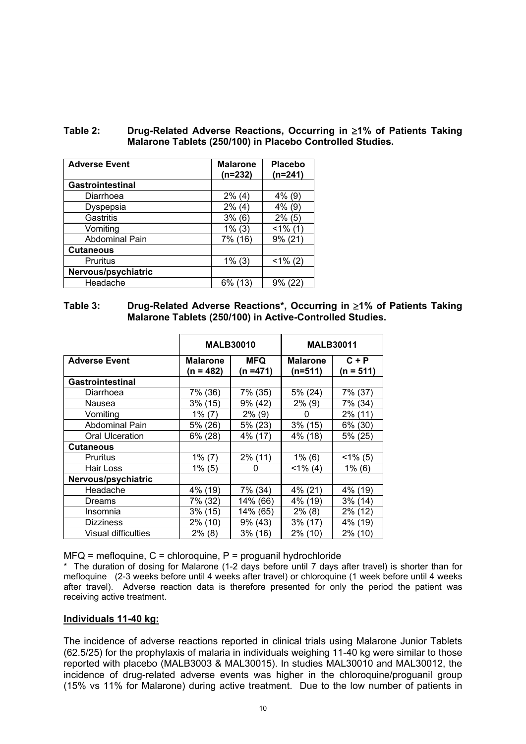| Table 2: | Drug-Related Adverse Reactions, Occurring in ≥1% of Patients Taking |
|----------|---------------------------------------------------------------------|
|          | Malarone Tablets (250/100) in Placebo Controlled Studies.           |

| <b>Adverse Event</b>    | <b>Malarone</b><br>$(n=232)$ | <b>Placebo</b><br>$(n=241)$ |
|-------------------------|------------------------------|-----------------------------|
| <b>Gastrointestinal</b> |                              |                             |
| Diarrhoea               | $2\%$ (4)                    | $4\%$ (9)                   |
| Dyspepsia               | $2\%$ (4)                    | $4\%$ (9)                   |
| Gastritis               | 3% (6)                       | $2\%$ (5)                   |
| Vomiting                | $1\%$ (3)                    | $<1\%$ (1)                  |
| <b>Abdominal Pain</b>   | 7% (16)                      | $9\%$ (21)                  |
| <b>Cutaneous</b>        |                              |                             |
| Pruritus                | $1\%$ (3)                    | $<1\%$ (2)                  |
| Nervous/psychiatric     |                              |                             |
| Headache                | 6% (13)                      | 9% (22)                     |

# **Table 3: Drug-Related Adverse Reactions\*, Occurring in** ≥**1% of Patients Taking Malarone Tablets (250/100) in Active-Controlled Studies.**

|                         |                              | <b>MALB30010</b>   |                              | <b>MALB30011</b>       |  |
|-------------------------|------------------------------|--------------------|------------------------------|------------------------|--|
| <b>Adverse Event</b>    | <b>Malarone</b><br>(n = 482) | MFQ<br>$(n = 471)$ | <b>Malarone</b><br>$(n=511)$ | $C + P$<br>$(n = 511)$ |  |
| <b>Gastrointestinal</b> |                              |                    |                              |                        |  |
| Diarrhoea               | 7% (36)                      | 7% (35)            | 5% (24)                      | 7% (37)                |  |
| Nausea                  | $3\%$ (15)                   | 9% (42)            | $2\%$ (9)                    | 7% (34)                |  |
| Vomiting                | 1% (7)                       | $2\%$ (9)          | 0                            | 2% (11)                |  |
| <b>Abdominal Pain</b>   | 5% (26)                      | $5\%$ (23)         | $3\%$ (15)                   | 6% (30)                |  |
| <b>Oral Ulceration</b>  | 6% (28)                      | 4% (17)            | 4% (18)                      | 5% (25)                |  |
| <b>Cutaneous</b>        |                              |                    |                              |                        |  |
| Pruritus                | $1\%$ (7)                    | $2\%$ (11)         | $1\%$ (6)                    | $<1\%$ (5)             |  |
| Hair Loss               | $1\%$ (5)                    | 0                  | $<$ 1% (4)                   | $1\%$ (6)              |  |
| Nervous/psychiatric     |                              |                    |                              |                        |  |
| Headache                | 4% (19)                      | 7% (34)            | $4\%$ (21)                   | 4% (19)                |  |
| Dreams                  | 7% (32)                      | 14% (66)           | 4% (19)                      | $3\%$ (14)             |  |
| Insomnia                | $3\%$ (15)                   | 14% (65)           | $2\%$ (8)                    | 2% (12)                |  |
| <b>Dizziness</b>        | 2% (10)                      | $9\%$ (43)         | $3\%$ (17)                   | 4% (19)                |  |
| Visual difficulties     | 2% (8)                       | $3\%$ (16)         | 2% (10)                      | 2% (10)                |  |

 $MFG$  = mefloquine,  $C$  = chloroquine,  $P$  = proguanil hydrochloride

\* The duration of dosing for Malarone (1-2 days before until 7 days after travel) is shorter than for mefloquine (2-3 weeks before until 4 weeks after travel) or chloroquine (1 week before until 4 weeks after travel). Adverse reaction data is therefore presented for only the period the patient was receiving active treatment.

#### **Individuals 11-40 kg:**

The incidence of adverse reactions reported in clinical trials using Malarone Junior Tablets (62.5/25) for the prophylaxis of malaria in individuals weighing 11-40 kg were similar to those reported with placebo (MALB3003 & MAL30015). In studies MAL30010 and MAL30012, the incidence of drug-related adverse events was higher in the chloroquine/proguanil group (15% vs 11% for Malarone) during active treatment. Due to the low number of patients in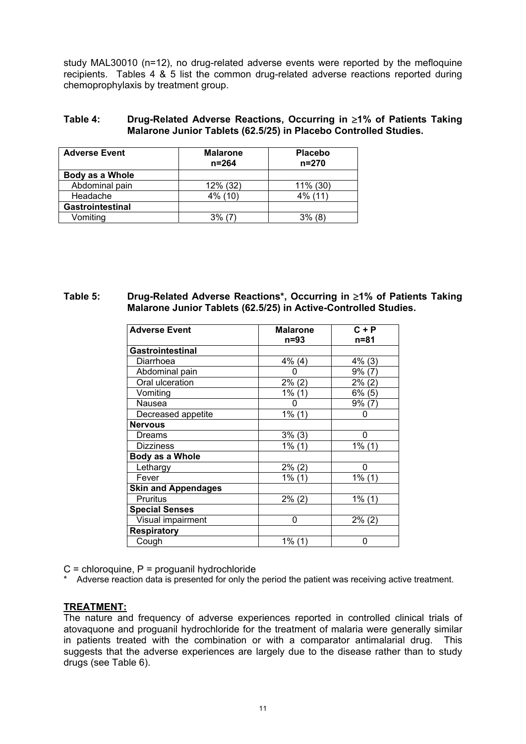study MAL30010 (n=12), no drug-related adverse events were reported by the mefloquine recipients. Tables 4 & 5 list the common drug-related adverse reactions reported during chemoprophylaxis by treatment group.

| Table 4: | Drug-Related Adverse Reactions, Occurring in ≥1% of Patients Taking |
|----------|---------------------------------------------------------------------|
|          | Malarone Junior Tablets (62.5/25) in Placebo Controlled Studies.    |

| <b>Adverse Event</b>    | <b>Malarone</b><br>$n = 264$ | <b>Placebo</b><br>$n = 270$ |  |
|-------------------------|------------------------------|-----------------------------|--|
| Body as a Whole         |                              |                             |  |
| Abdominal pain          | 12% (32)                     | 11% (30)                    |  |
| Headache                | 4% (10)                      | $4\%$ (11)                  |  |
| <b>Gastrointestinal</b> |                              |                             |  |
| Vomitina                | 3%                           | $3\%$ (8)                   |  |

## **Table 5: Drug-Related Adverse Reactions\*, Occurring in** ≥**1% of Patients Taking Malarone Junior Tablets (62.5/25) in Active-Controlled Studies.**

| <b>Adverse Event</b>       | <b>Malarone</b> | $C + P$   |  |
|----------------------------|-----------------|-----------|--|
|                            | n=93            | n=81      |  |
| <b>Gastrointestinal</b>    |                 |           |  |
| Diarrhoea                  | $4\%$ (4)       | $4\%$ (3) |  |
| Abdominal pain             | 0               | $9\%$ (7) |  |
| Oral ulceration            | 2% (2)          | 2% (2)    |  |
| Vomiting                   | 1% (1)          | 6% (5)    |  |
| Nausea                     | 0               | $9\%$ (7) |  |
| Decreased appetite         | $1\%$ (1)       | 0         |  |
| <b>Nervous</b>             |                 |           |  |
| Dreams                     | $3\%$ (3)       | n         |  |
| <b>Dizziness</b>           | $1\%$ (1)       | $1\%$ (1) |  |
| Body as a Whole            |                 |           |  |
| Lethargy                   | 2% (2)          | 0         |  |
| Fever                      | 1% (1)          | $1\%$ (1) |  |
| <b>Skin and Appendages</b> |                 |           |  |
| Pruritus                   | $2\%$ (2)       | $1\%$ (1) |  |
| <b>Special Senses</b>      |                 |           |  |
| Visual impairment          | 0               | $2\%$ (2) |  |
| <b>Respiratory</b>         |                 |           |  |
| Cough                      | $1\%$ (1)       | 0         |  |

 $C =$  chloroquine,  $P =$  proquanil hydrochloride

\* Adverse reaction data is presented for only the period the patient was receiving active treatment.

# **TREATMENT:**

The nature and frequency of adverse experiences reported in controlled clinical trials of atovaquone and proguanil hydrochloride for the treatment of malaria were generally similar in patients treated with the combination or with a comparator antimalarial drug. This suggests that the adverse experiences are largely due to the disease rather than to study drugs (see Table 6).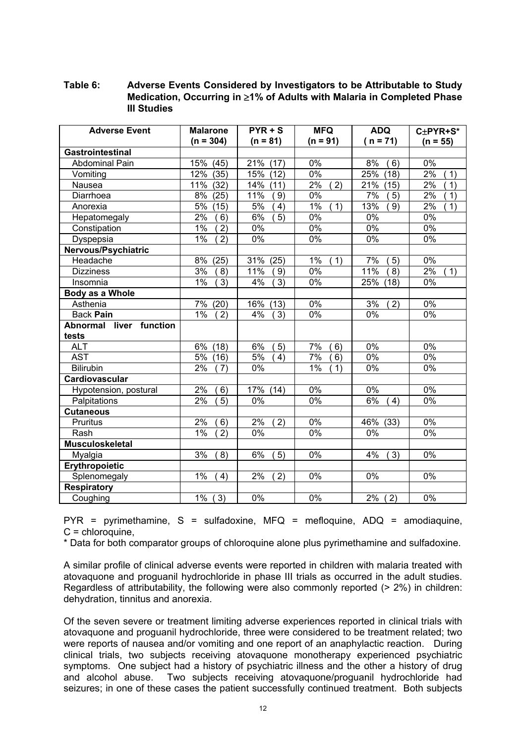# **Table 6: Adverse Events Considered by Investigators to be Attributable to Study Medication, Occurring in** ≥**1% of Adults with Malaria in Completed Phase III Studies**

| <b>Adverse Event</b>    | <b>Malarone</b> | $PYR + S$   | <b>MFQ</b>       | <b>ADQ</b>                | C±PYR+S*         |
|-------------------------|-----------------|-------------|------------------|---------------------------|------------------|
|                         | $(n = 304)$     | $(n = 81)$  | $(n = 91)$       | $(n = 71)$                | $(n = 55)$       |
| <b>Gastrointestinal</b> |                 |             |                  |                           |                  |
| <b>Abdominal Pain</b>   | 15%<br>(45)     | 21%<br>(17) | $0\%$            | 8%<br>6)                  | 0%               |
| Vomiting                | 12%<br>(35)     | 15%<br>(12) | $0\%$            | 25%<br>(18)               | 2%<br>1)         |
| Nausea                  | 11%<br>(32)     | 14%<br>(11) | 2%<br>2)         | 21%<br>(15)               | 2%<br>1)         |
| Diarrhoea               | 8%<br>(25)      | 11%<br>9)   | $0\%$            | 7%<br>5)                  | $2\%$<br>1)      |
| Anorexia                | 5%<br>(15)      | 5%<br>4)    | $1\%$<br>1)      | 13%<br>9)                 | 2%<br>1)         |
| Hepatomegaly            | $2\%$<br>6)     | 6%<br>5)    | $0\%$            | $0\%$                     | $\overline{0\%}$ |
| Constipation            | 1%<br>2)        | 0%          | $\overline{0\%}$ | $\overline{0\%}$          | 0%               |
| Dyspepsia               | 1%<br>2)        | 0%          | 0%               | 0%                        | 0%               |
| Nervous/Psychiatric     |                 |             |                  |                           |                  |
| Headache                | 8%<br>(25)      | 31%<br>(25) | $1\%$<br>1)      | 7%<br>5)                  | $\overline{0\%}$ |
| <b>Dizziness</b>        | 3%<br>8)        | 11%<br>(9)  | $0\%$            | 11%<br>8)                 | 2%<br>1)         |
| Insomnia                | 1%<br>3)        | 4%<br>3)    | 0%               | 25%<br>(18)               | 0%               |
| Body as a Whole         |                 |             |                  |                           |                  |
| Asthenia                | 7%<br>(20)      | 16%<br>(13) | 0%               | 3%<br>2)                  | 0%               |
| <b>Back Pain</b>        | 1%<br>2)        | 4%<br>3)    | 0%               | 0%                        | 0%               |
| Abnormal liver function |                 |             |                  |                           |                  |
| tests                   |                 |             |                  |                           |                  |
| <b>ALT</b>              | 6%<br>(18)      | 6%<br>5)    | 7%<br>6)         | $0\%$                     | $0\%$            |
| <b>AST</b>              | $5\%$<br>(16)   | 5%<br>4)    | 7%<br>6)         | 0%                        | 0%               |
| <b>Bilirubin</b>        | 2%<br>7)        | 0%          | 1%<br>1)         | 0%                        | 0%               |
| Cardiovascular          |                 |             |                  |                           |                  |
| Hypotension, postural   | 2%<br>6)        | 17%<br>(14) | $\overline{0\%}$ | $\overline{0\%}$          | 0%               |
| Palpitations            | 2%<br>5)        | 0%          | 0%               | 6%<br>4)                  | 0%               |
| <b>Cutaneous</b>        |                 |             |                  |                           |                  |
| Pruritus                | 2%<br>6)        | 2%<br>2)    | 0%               | $\overline{46\%}$<br>(33) | 0%               |
| Rash                    | $1\%$<br>2)     | 0%          | 0%               | 0%                        | $0\%$            |
| <b>Musculoskeletal</b>  |                 |             |                  |                           |                  |
| Myalgia                 | 3%<br>8)        | 6%<br>5)    | $0\%$            | 4%<br>3)                  | $\overline{0\%}$ |
| Erythropoietic          |                 |             |                  |                           |                  |
| Splenomegaly            | 1%<br>4)        | 2%<br>2)    | $0\%$            | 0%                        | 0%               |
| Respiratory             |                 |             |                  |                           |                  |
| Coughing                | $1\%$<br>(3)    | 0%          | 0%               | $2\%$ (<br>2)             | 0%               |

 $PYR$  = pyrimethamine, S = sulfadoxine, MFQ = mefloquine, ADQ = amodiaquine, C = chloroquine,

\* Data for both comparator groups of chloroquine alone plus pyrimethamine and sulfadoxine.

A similar profile of clinical adverse events were reported in children with malaria treated with atovaquone and proguanil hydrochloride in phase III trials as occurred in the adult studies. Regardless of attributability, the following were also commonly reported (> 2%) in children: dehydration, tinnitus and anorexia.

Of the seven severe or treatment limiting adverse experiences reported in clinical trials with atovaquone and proguanil hydrochloride, three were considered to be treatment related; two were reports of nausea and/or vomiting and one report of an anaphylactic reaction. During clinical trials, two subjects receiving atovaquone monotherapy experienced psychiatric symptoms. One subject had a history of psychiatric illness and the other a history of drug and alcohol abuse. Two subjects receiving atovaquone/proguanil hydrochloride had seizures; in one of these cases the patient successfully continued treatment. Both subjects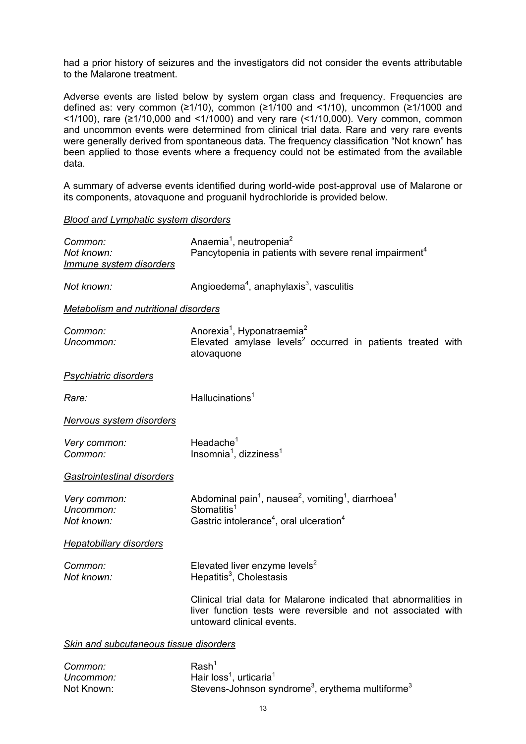had a prior history of seizures and the investigators did not consider the events attributable to the Malarone treatment.

Adverse events are listed below by system organ class and frequency. Frequencies are defined as: very common ( $\geq 1/10$ ), common ( $\geq 1/100$  and <1/10), uncommon ( $\geq 1/1000$  and <1/100), rare (≥1/10,000 and <1/1000) and very rare (<1/10,000). Very common, common and uncommon events were determined from clinical trial data. Rare and very rare events were generally derived from spontaneous data. The frequency classification "Not known" has been applied to those events where a frequency could not be estimated from the available data.

A summary of adverse events identified during world-wide post-approval use of Malarone or its components, atovaquone and proguanil hydrochloride is provided below.

#### *Blood and Lymphatic system disorders*

| Common:<br>Not known:<br>Immune system disorders | Anaemia <sup>1</sup> , neutropenia <sup>2</sup><br>Pancytopenia in patients with severe renal impairment <sup>4</sup>                                                                            |
|--------------------------------------------------|--------------------------------------------------------------------------------------------------------------------------------------------------------------------------------------------------|
| Not known:                                       | Angioedema <sup>4</sup> , anaphylaxis <sup>3</sup> , vasculitis                                                                                                                                  |
| <b>Metabolism and nutritional disorders</b>      |                                                                                                                                                                                                  |
| Common:<br>Uncommon:                             | Anorexia <sup>1</sup> , Hyponatraemia <sup>2</sup><br>Elevated amylase levels <sup>2</sup> occurred in patients treated with<br>atovaquone                                                       |
| <b>Psychiatric disorders</b>                     |                                                                                                                                                                                                  |
| Rare:                                            | Hallucinations <sup>1</sup>                                                                                                                                                                      |
| Nervous system disorders                         |                                                                                                                                                                                                  |
| Very common:<br>Common:                          | Headache $1$<br>Insomnia <sup>1</sup> , dizziness <sup>1</sup>                                                                                                                                   |
| <b>Gastrointestinal disorders</b>                |                                                                                                                                                                                                  |
| Very common:<br>Uncommon:<br>Not known:          | Abdominal pain <sup>1</sup> , nausea <sup>2</sup> , vomiting <sup>1</sup> , diarrhoea <sup>1</sup><br>Stomatitis <sup>1</sup><br>Gastric intolerance <sup>4</sup> , oral ulceration <sup>4</sup> |
| <b>Hepatobiliary disorders</b>                   |                                                                                                                                                                                                  |
| Common:<br>Not known:                            | Elevated liver enzyme levels <sup>2</sup><br>Hepatitis <sup>3</sup> , Cholestasis                                                                                                                |
|                                                  | Clinical trial data for Malarone indicated that abnormalities in<br>liver function tests were reversible and not associated with<br>untoward clinical events.                                    |
| Skin and subcutaneous tissue disorders           |                                                                                                                                                                                                  |
|                                                  | $D - L$                                                                                                                                                                                          |

**Common:** Rash *Uncommon:* Hair  $loss<sup>1</sup>$ , urticaria<sup>1</sup> Not Known: Stevens-Johnson syndrome<sup>3</sup>, erythema multiforme<sup>3</sup>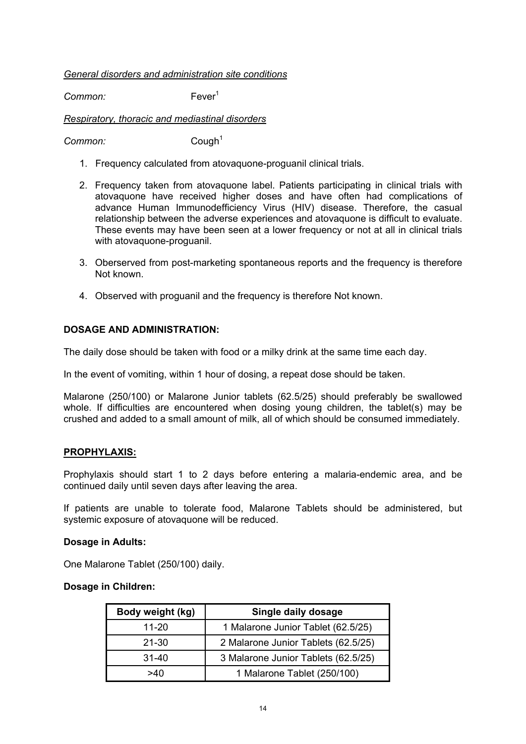## *General disorders and administration site conditions*

*Common:* Fever1

# *Respiratory, thoracic and mediastinal disorders*

**Common:** Cough<sup>1</sup>

- 1. Frequency calculated from atovaquone-proguanil clinical trials.
- 2. Frequency taken from atovaquone label. Patients participating in clinical trials with atovaquone have received higher doses and have often had complications of advance Human Immunodefficiency Virus (HIV) disease. Therefore, the casual relationship between the adverse experiences and atovaquone is difficult to evaluate. These events may have been seen at a lower frequency or not at all in clinical trials with atovaquone-proguanil.
- 3. Oberserved from post-marketing spontaneous reports and the frequency is therefore Not known.
- 4. Observed with proguanil and the frequency is therefore Not known.

# **DOSAGE AND ADMINISTRATION:**

The daily dose should be taken with food or a milky drink at the same time each day.

In the event of vomiting, within 1 hour of dosing, a repeat dose should be taken.

Malarone (250/100) or Malarone Junior tablets (62.5/25) should preferably be swallowed whole. If difficulties are encountered when dosing young children, the tablet(s) may be crushed and added to a small amount of milk, all of which should be consumed immediately.

# **PROPHYLAXIS:**

Prophylaxis should start 1 to 2 days before entering a malaria-endemic area, and be continued daily until seven days after leaving the area.

If patients are unable to tolerate food, Malarone Tablets should be administered, but systemic exposure of atovaquone will be reduced.

# **Dosage in Adults:**

One Malarone Tablet (250/100) daily.

#### **Dosage in Children:**

| Body weight (kg) | Single daily dosage                 |
|------------------|-------------------------------------|
| $11 - 20$        | 1 Malarone Junior Tablet (62.5/25)  |
| $21 - 30$        | 2 Malarone Junior Tablets (62.5/25) |
| $31 - 40$        | 3 Malarone Junior Tablets (62.5/25) |
| >40              | 1 Malarone Tablet (250/100)         |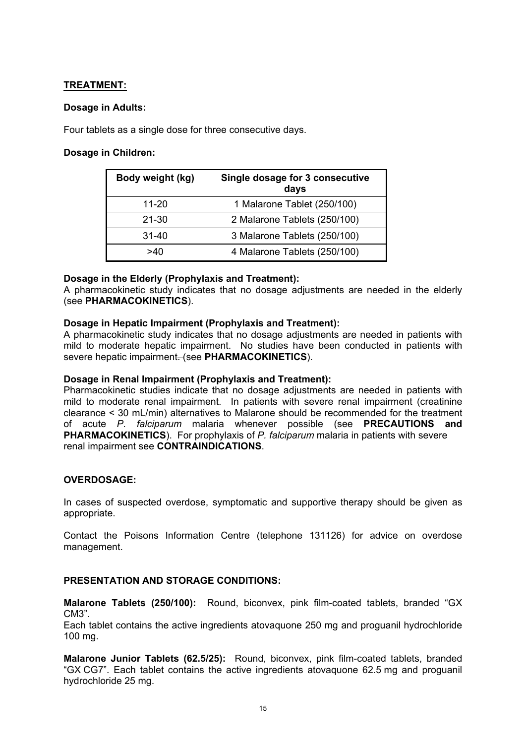# **TREATMENT:**

# **Dosage in Adults:**

Four tablets as a single dose for three consecutive days.

# **Dosage in Children:**

| Body weight (kg) | Single dosage for 3 consecutive<br>days |
|------------------|-----------------------------------------|
| $11 - 20$        | 1 Malarone Tablet (250/100)             |
| $21 - 30$        | 2 Malarone Tablets (250/100)            |
| $31 - 40$        | 3 Malarone Tablets (250/100)            |
| >40              | 4 Malarone Tablets (250/100)            |

# **Dosage in the Elderly (Prophylaxis and Treatment):**

A pharmacokinetic study indicates that no dosage adjustments are needed in the elderly (see **PHARMACOKINETICS**).

# **Dosage in Hepatic Impairment (Prophylaxis and Treatment):**

A pharmacokinetic study indicates that no dosage adjustments are needed in patients with mild to moderate hepatic impairment. No studies have been conducted in patients with severe hepatic impairment. (see **PHARMACOKINETICS**).

# **Dosage in Renal Impairment (Prophylaxis and Treatment):**

Pharmacokinetic studies indicate that no dosage adjustments are needed in patients with mild to moderate renal impairment. In patients with severe renal impairment (creatinine clearance < 30 mL/min) alternatives to Malarone should be recommended for the treatment of acute *P. falciparum* malaria whenever possible (see **PRECAUTIONS and PHARMACOKINETICS**). For prophylaxis of *P. falciparum* malaria in patients with severe renal impairment see **CONTRAINDICATIONS**.

# **OVERDOSAGE:**

In cases of suspected overdose, symptomatic and supportive therapy should be given as appropriate.

Contact the Poisons Information Centre (telephone 131126) for advice on overdose management.

# **PRESENTATION AND STORAGE CONDITIONS:**

**Malarone Tablets (250/100):** Round, biconvex, pink film-coated tablets, branded "GX CM3".

Each tablet contains the active ingredients atovaquone 250 mg and proguanil hydrochloride 100 mg.

**Malarone Junior Tablets (62.5/25):** Round, biconvex, pink film-coated tablets, branded "GX CG7". Each tablet contains the active ingredients atovaquone 62.5 mg and proguanil hydrochloride 25 mg.